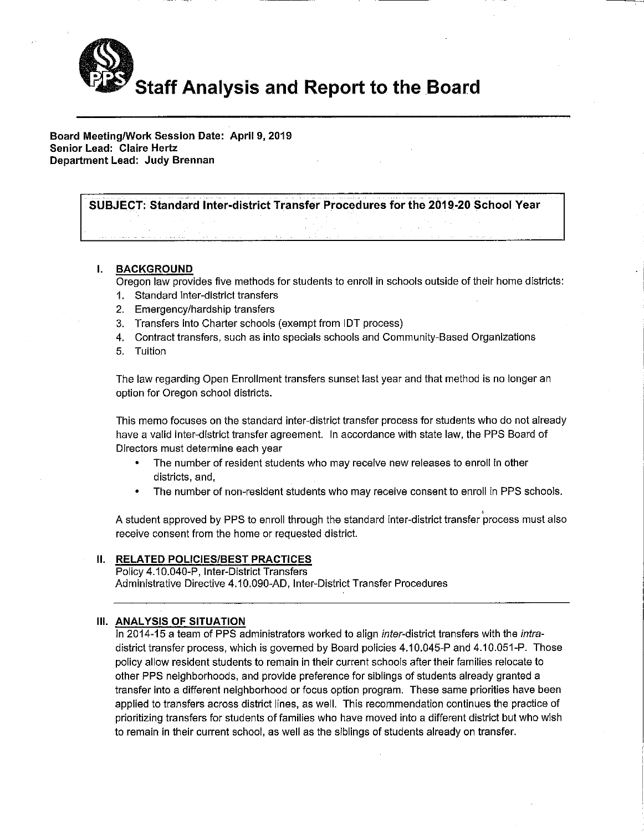

Board Meeting/Work Session Date: April 9, 2019 Senior Lead: Claire Hertz Department Lead: Judy Brennan

SUBJECT: Standard Inter-district Transfer Procedures for the 2019-20 School Year

# I. BACKGROUND

Oregon law provides five methods for students to enroll in schools outside of their home districts:

- 1. Standard inter-district transfers
- 2. Emergency/hardship transfers
- 3. Transfers into Charter schools (exempt from IDT process)
- 4. Contract transfers, such as into specials schools and Community-Based Organizations
- 5. Tuition

The law regarding Open Enrollment transfers sunset last year and that method is no longer an option for Oregon school districts.

This memo focuses on the standard inter-district transfer process for students who do not already have a valid inter-district transfer agreement. In accordance with state law, the PPS Board of Directors must determine each year

- The number of resident students who may receive new releases to enroll in other  $\bullet$ districts, and.
- The number of non-resident students who may receive consent to enroll in PPS schools.

A student approved by PPS to enroll through the standard inter-district transfer process must also receive consent from the home or requested district.

# **II. RELATED POLICIES/BEST PRACTICES**

Policy 4.10.040-P, Inter-District Transfers Administrative Directive 4.10.090-AD, Inter-District Transfer Procedures

# III. ANALYSIS OF SITUATION

In 2014-15 a team of PPS administrators worked to align inter-district transfers with the intradistrict transfer process, which is governed by Board policies 4.10.045-P and 4.10.051-P. Those policy allow resident students to remain in their current schools after their families relocate to other PPS neighborhoods, and provide preference for siblings of students already granted a transfer into a different neighborhood or focus option program. These same priorities have been applied to transfers across district lines, as well. This recommendation continues the practice of prioritizing transfers for students of families who have moved into a different district but who wish to remain in their current school, as well as the siblings of students already on transfer.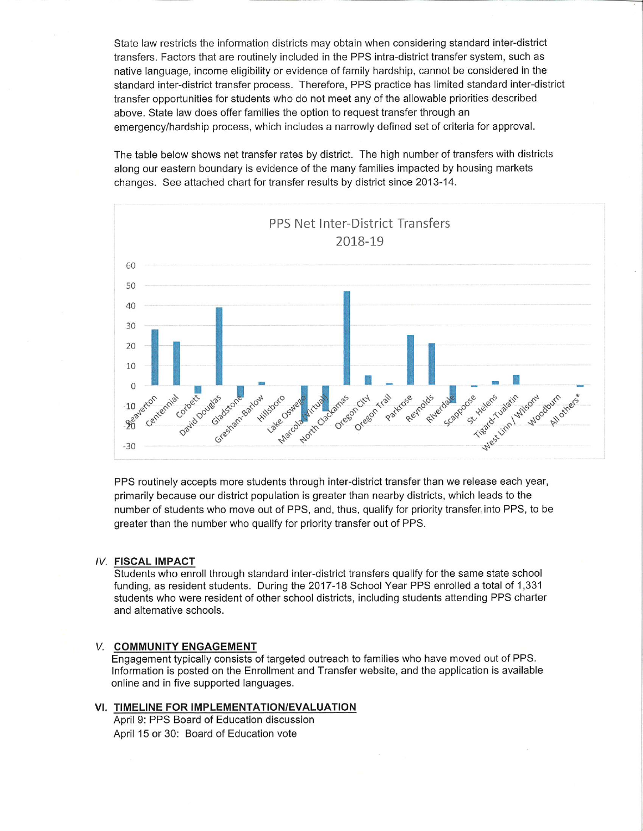State law restricts the information districts may obtain when considering standard inter-district transfers. Factors that are routinely included in the PPS intra-district transfer system, such as native language, income eligibility or evidence of family hardship, cannot be considered in the standard inter-district transfer process. Therefore, PPS practice has limited standard inter-district transfer opportunities for students who do not meet any of the allowable priorities described above. State law does offer families the option to request transfer through an emergency/hardship process, which includes a narrowly defined set of criteria for approval.

The table below shows net transfer rates by district. The high number of transfers with districts along our eastern boundary is evidence of the many families impacted by housing markets changes. See attached chart for transfer results by district since 2013-14.



PPS routinely accepts more students through inter-district transfer than we release each year, primarily because our district population is greater than nearby districts, which leads to the number of students who move out of PPS, and, thus, qualify for priority transfer into PPS, to be greater than the number who qualify for priority transfer out of PPS.

## **IV. FISCAL IMPACT**

Students who enroll through standard inter-district transfers qualify for the same state school funding, as resident students. During the 2017-18 School Year PPS enrolled a total of 1,331 students who were resident of other school districts, including students attending PPS charter and alternative schools.

# V. COMMUNITY ENGAGEMENT

Engagement typically consists of targeted outreach to families who have moved out of PPS. Information is posted on the Enrollment and Transfer website, and the application is available online and in five supported languages.

# VI. TIMELINE FOR IMPLEMENTATION/EVALUATION

April 9: PPS Board of Education discussion April 15 or 30: Board of Education vote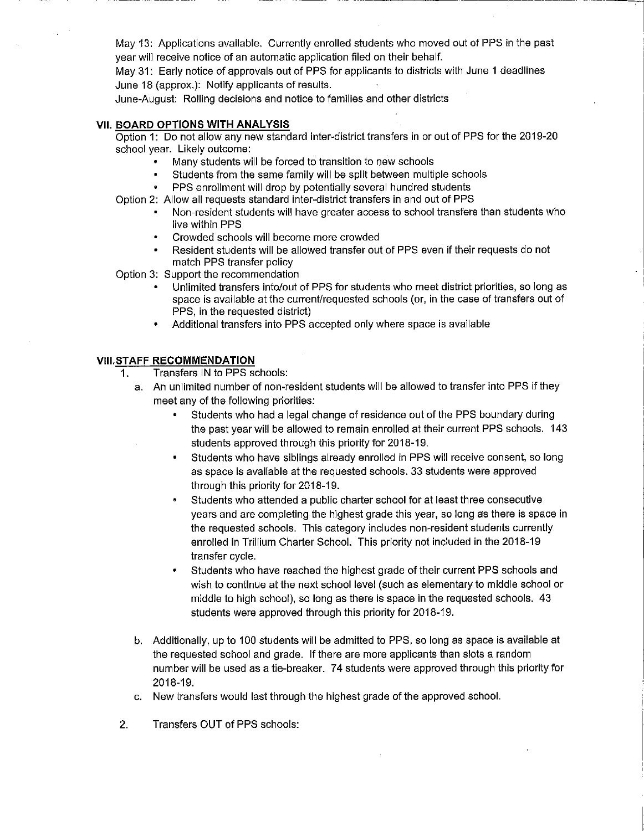May 13: Applications available. Currently enrolled students who moved out of PPS in the past year will receive notice of an automatic application filed on their behalf.

May 31: Early notice of approvals out of PPS for applicants to districts with June 1 deadlines June 18 (approx.): Notify applicants of results.

June-August: Rolling decisions and notice to families and other districts

#### **VII. BOARD OPTIONS WITH ANALYSIS**

Option 1: Do not allow any new standard inter-district transfers in or out of PPS for the 2019-20 school year. Likely outcome:

- Many students will be forced to transition to new schools
- Students from the same family will be split between multiple schools
- PPS enrollment will drop by potentially several hundred students
- Option 2: Allow all requests standard inter-district transfers in and out of PPS
	- Non-resident students will have greater access to school transfers than students who live within PPS
	- Crowded schools will become more crowded
	- Resident students will be allowed transfer out of PPS even if their requests do not match PPS transfer policy

Option 3: Support the recommendation

- Unlimited transfers into/out of PPS for students who meet district priorities, so long as space is available at the current/requested schools (or, in the case of transfers out of PPS, in the requested district)
- Additional transfers into PPS accepted only where space is available

#### **VIII.STAFF RECOMMENDATION**

- Transfers IN to PPS schools: 1.
	- a. An unlimited number of non-resident students will be allowed to transfer into PPS if they meet any of the following priorities:
		- Students who had a legal change of residence out of the PPS boundary during the past year will be allowed to remain enrolled at their current PPS schools. 143 students approved through this priority for 2018-19.
		- Students who have siblings already enrolled in PPS will receive consent, so long as space is available at the requested schools. 33 students were approved through this priority for 2018-19.
		- Students who attended a public charter school for at least three consecutive years and are completing the highest grade this year, so long as there is space in the requested schools. This category includes non-resident students currently enrolled in Trillium Charter School. This priority not included in the 2018-19 transfer cycle.
		- Students who have reached the highest grade of their current PPS schools and wish to continue at the next school level (such as elementary to middle school or middle to high school), so long as there is space in the requested schools. 43 students were approved through this priority for 2018-19.
	- b. Additionally, up to 100 students will be admitted to PPS, so long as space is available at the requested school and grade. If there are more applicants than slots a random number will be used as a tie-breaker. 74 students were approved through this priority for 2018-19.
	- c. New transfers would last through the highest grade of the approved school.
- $2.$ Transfers OUT of PPS schools: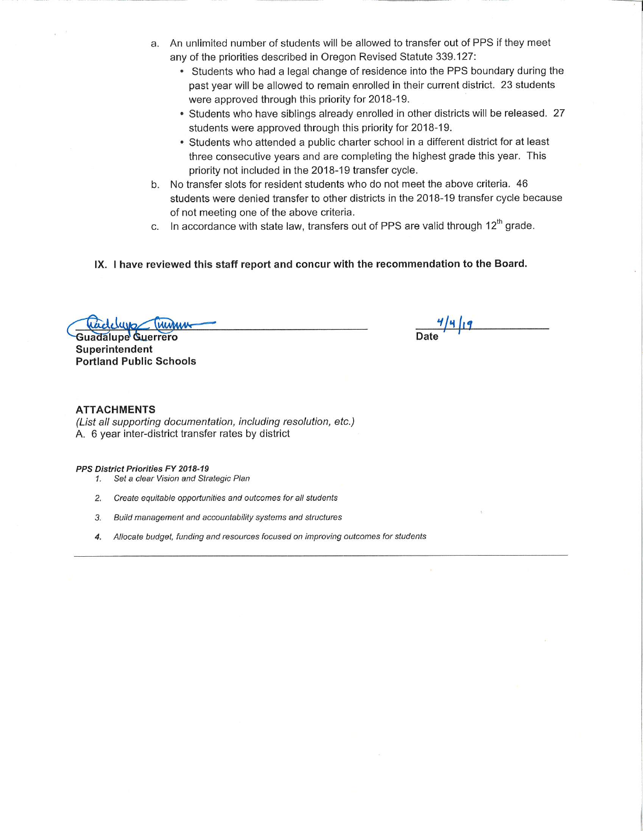- a. An unlimited number of students will be allowed to transfer out of PPS if they meet any of the priorities described in Oregon Revised Statute 339.127:
	- Students who had a legal change of residence into the PPS boundary during the past year will be allowed to remain enrolled in their current district. 23 students were approved through this priority for 2018-19.
	- Students who have siblings already enrolled in other districts will be released. 27 students were approved through this priority for 2018-19.
	- Students who attended a public charter school in a different district for at least three consecutive years and are completing the highest grade this year. This priority not included in the 2018-19 transfer cycle.
- b. No transfer slots for resident students who do not meet the above criteria. 46 students were denied transfer to other districts in the 2018-19 transfer cycle because of not meeting one of the above criteria.
- c. In accordance with state law, transfers out of PPS are valid through 12<sup>th</sup> grade.
- IX. I have reviewed this staff report and concur with the recommendation to the Board.

**Guadalupe Guerrero** Superintendent **Portland Public Schools** 

 $\frac{4}{4}$ 

### **ATTACHMENTS**

(List all supporting documentation, including resolution, etc.) A. 6 year inter-district transfer rates by district

PPS District Priorities FY 2018-19

- 1. Set a clear Vision and Strategic Plan
- 2. Create equitable opportunities and outcomes for all students
- 3. Build management and accountability systems and structures
- 4. Allocate budget, funding and resources focused on improving outcomes for students